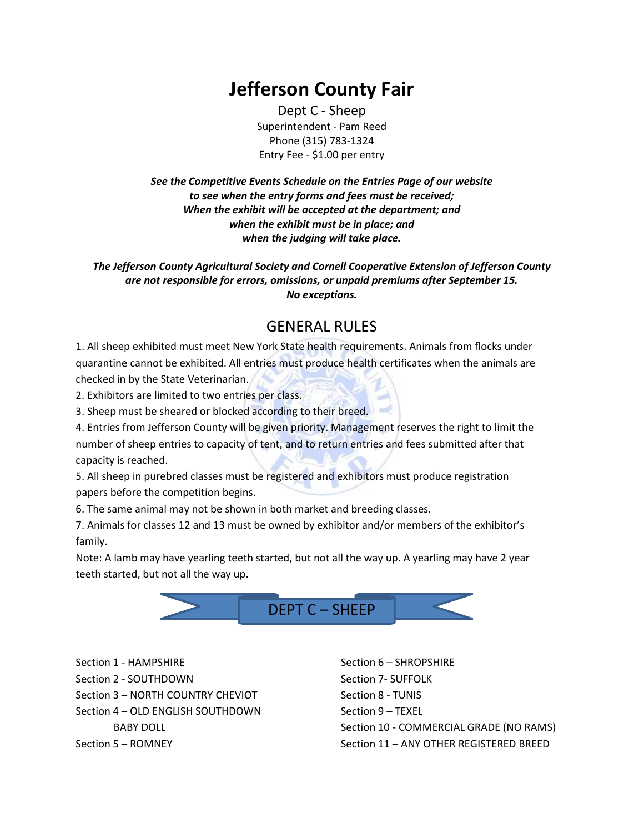# **Jefferson County Fair**

Dept C - Sheep Superintendent - Pam Reed Phone (315) 783-1324 Entry Fee - \$1.00 per entry

*See the Competitive Events Schedule on the Entries Page of our website to see when the entry forms and fees must be received; When the exhibit will be accepted at the department; and when the exhibit must be in place; and when the judging will take place.*

*The Jefferson County Agricultural Society and Cornell Cooperative Extension of Jefferson County are not responsible for errors, omissions, or unpaid premiums after September 15. No exceptions.*

### GENERAL RULES

1. All sheep exhibited must meet New York State health requirements. Animals from flocks under quarantine cannot be exhibited. All entries must produce health certificates when the animals are checked in by the State Veterinarian.

2. Exhibitors are limited to two entries per class.

3. Sheep must be sheared or blocked according to their breed.

4. Entries from Jefferson County will be given priority. Management reserves the right to limit the number of sheep entries to capacity of tent, and to return entries and fees submitted after that capacity is reached.

5. All sheep in purebred classes must be registered and exhibitors must produce registration papers before the competition begins.

6. The same animal may not be shown in both market and breeding classes.

7. Animals for classes 12 and 13 must be owned by exhibitor and/or members of the exhibitor's family.

Note: A lamb may have yearling teeth started, but not all the way up. A yearling may have 2 year teeth started, but not all the way up.



Section 1 - HAMPSHIRE Section 2 - SOUTHDOWN Section 3 – NORTH COUNTRY CHEVIOT Section 4 – OLD ENGLISH SOUTHDOWN BABY DOLL Section 5 – ROMNEY

Section 6 – SHROPSHIRE Section 7- SUFFOLK Section 8 - TUNIS Section 9 – TEXEL Section 10 - COMMERCIAL GRADE (NO RAMS) Section 11 – ANY OTHER REGISTERED BREED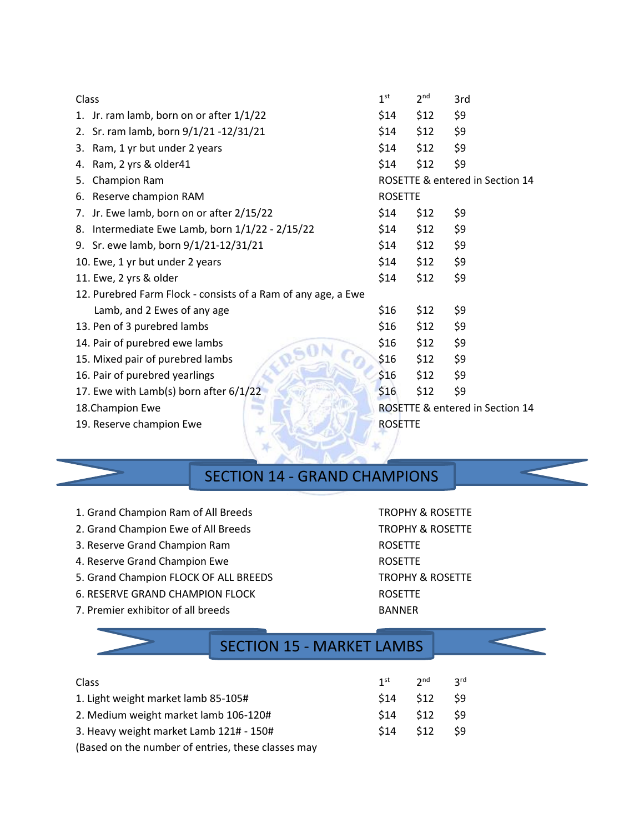| Class                                                         | 1 <sup>st</sup>                 | 2 <sup>nd</sup> | 3rd                             |  |
|---------------------------------------------------------------|---------------------------------|-----------------|---------------------------------|--|
| 1. Jr. ram lamb, born on or after 1/1/22                      | \$14                            | \$12            | \$9                             |  |
| Sr. ram lamb, born 9/1/21 -12/31/21<br>2.                     | \$14                            | \$12            | \$9                             |  |
| 3. Ram, 1 yr but under 2 years                                | \$14                            | \$12            | \$9                             |  |
| 4. Ram, 2 yrs & older41                                       | \$14                            | \$12            | \$9                             |  |
| Champion Ram<br>5.                                            |                                 |                 | ROSETTE & entered in Section 14 |  |
| 6. Reserve champion RAM                                       | <b>ROSETTE</b>                  |                 |                                 |  |
| 7. Jr. Ewe lamb, born on or after 2/15/22                     | \$14                            | \$12            | \$9                             |  |
| Intermediate Ewe Lamb, born 1/1/22 - 2/15/22<br>8.            | \$14                            | \$12            | \$9                             |  |
| 9. Sr. ewe lamb, born 9/1/21-12/31/21                         | \$14                            | \$12            | \$9                             |  |
| 10. Ewe, 1 yr but under 2 years                               | \$14                            | \$12            | \$9                             |  |
| 11. Ewe, 2 yrs & older                                        | \$14                            | \$12            | \$9                             |  |
| 12. Purebred Farm Flock - consists of a Ram of any age, a Ewe |                                 |                 |                                 |  |
| Lamb, and 2 Ewes of any age                                   | \$16                            | \$12            | \$9                             |  |
| 13. Pen of 3 purebred lambs                                   | \$16                            | \$12            | \$9                             |  |
| 14. Pair of purebred ewe lambs                                | \$16                            | \$12            | \$9                             |  |
| 15. Mixed pair of purebred lambs                              | \$16                            | \$12            | \$9                             |  |
| 16. Pair of purebred yearlings                                | \$16                            | \$12            | \$9                             |  |
| 17. Ewe with Lamb(s) born after 6/1/22                        | \$16                            | \$12            | \$9                             |  |
| 18. Champion Ewe                                              | ROSETTE & entered in Section 14 |                 |                                 |  |
| 19. Reserve champion Ewe                                      | <b>ROSETTE</b>                  |                 |                                 |  |
|                                                               |                                 |                 |                                 |  |
|                                                               |                                 |                 |                                 |  |

### SECTION 14 - GRAND CHAMPIONS

| 1. Grand Champion Ram of All Breeds | <b>TROPHY &amp; ROSETTE</b> |
|-------------------------------------|-----------------------------|

- 2. Grand Champion Ewe of All Breeds TROPHY & ROSETTE
- 3. Reserve Grand Champion Ram ROSETTE
- 4. Reserve Grand Champion Ewe **ROSETTE**
- 5. Grand Champion FLOCK OF ALL BREEDS TROPHY & ROSETTE
- 6. RESERVE GRAND CHAMPION FLOCK ROSETTE
- 7. Premier exhibitor of all breeds BANNER

### SECTION 15 - MARKET LAMBS

| <b>Class</b>                            |             | 1st 2nd 3rd      |      |
|-----------------------------------------|-------------|------------------|------|
| 1. Light weight market lamb 85-105#     |             | $$14$ $$12$ $$9$ |      |
| 2. Medium weight market lamb 106-120#   | $$14$ $$12$ |                  | - S9 |
| 3. Heavy weight market Lamb 121# - 150# |             | $$14$ $$12$ $$9$ |      |

(Based on the number of entries, these classes may